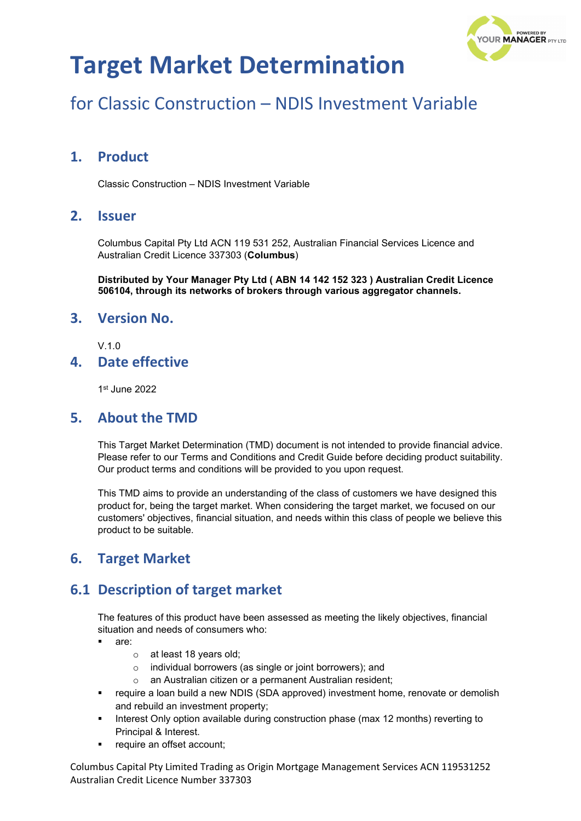

# for Classic Construction – NDIS Investment Variable

### **1. Product**

Classic Construction – NDIS Investment Variable

### **2. Issuer**

Columbus Capital Pty Ltd ACN 119 531 252, Australian Financial Services Licence and Australian Credit Licence 337303 (**Columbus**)

**Distributed by Your Manager Pty Ltd ( ABN 14 142 152 323 ) Australian Credit Licence 506104, through its networks of brokers through various aggregator channels.**

#### **3. Version No.**

 $V<sub>10</sub>$ 

#### **4. Date effective**

1st June 2022

#### **5. About the TMD**

This Target Market Determination (TMD) document is not intended to provide financial advice. Please refer to our Terms and Conditions and Credit Guide before deciding product suitability. Our product terms and conditions will be provided to you upon request.

This TMD aims to provide an understanding of the class of customers we have designed this product for, being the target market. When considering the target market, we focused on our customers' objectives, financial situation, and needs within this class of people we believe this product to be suitable.

### **6. Target Market**

## **6.1 Description of target market**

The features of this product have been assessed as meeting the likely objectives, financial situation and needs of consumers who:

- are:
	- o at least 18 years old;
	- o individual borrowers (as single or joint borrowers); and
	- o an Australian citizen or a permanent Australian resident;
- require a loan build a new NDIS (SDA approved) investment home, renovate or demolish and rebuild an investment property;
- Interest Only option available during construction phase (max 12 months) reverting to Principal & Interest.
- require an offset account;

Columbus Capital Pty Limited Trading as Origin Mortgage Management Services ACN 119531252 Australian Credit Licence Number 337303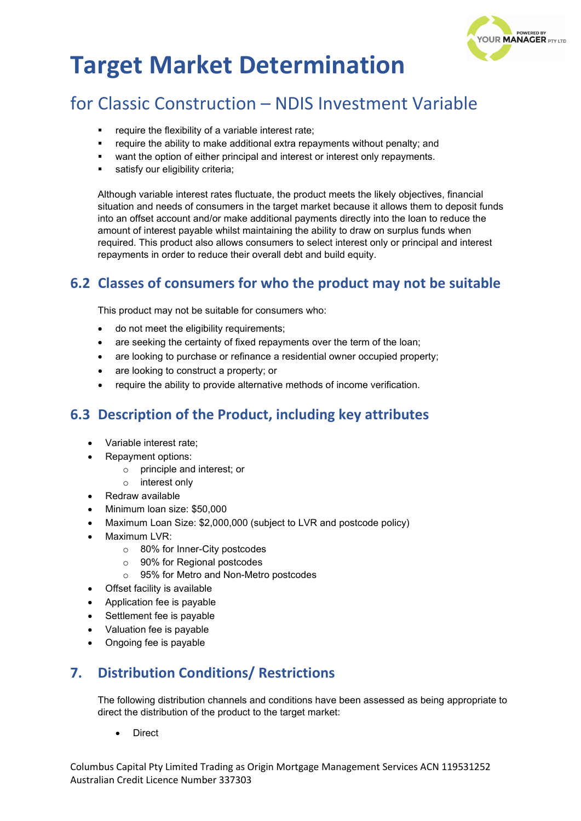

## for Classic Construction – NDIS Investment Variable

- require the flexibility of a variable interest rate;
- **•** require the ability to make additional extra repayments without penalty; and
- want the option of either principal and interest or interest only repayments.
- satisfy our eligibility criteria;

Although variable interest rates fluctuate, the product meets the likely objectives, financial situation and needs of consumers in the target market because it allows them to deposit funds into an offset account and/or make additional payments directly into the loan to reduce the amount of interest payable whilst maintaining the ability to draw on surplus funds when required. This product also allows consumers to select interest only or principal and interest repayments in order to reduce their overall debt and build equity.

## **6.2 Classes of consumers for who the product may not be suitable**

This product may not be suitable for consumers who:

- do not meet the eligibility requirements;
- are seeking the certainty of fixed repayments over the term of the loan;
- are looking to purchase or refinance a residential owner occupied property;
- are looking to construct a property; or
- require the ability to provide alternative methods of income verification.

## **6.3 Description of the Product, including key attributes**

- Variable interest rate;
- Repayment options:
	- o principle and interest; or
	- o interest only
- Redraw available
- Minimum loan size: \$50,000
- Maximum Loan Size: \$2,000,000 (subject to LVR and postcode policy)
- Maximum LVR:
	- o 80% for Inner-City postcodes
	- o 90% for Regional postcodes
	- o 95% for Metro and Non-Metro postcodes
- Offset facility is available
- Application fee is payable
- Settlement fee is payable
- Valuation fee is payable
- Ongoing fee is payable

## **7. Distribution Conditions/ Restrictions**

The following distribution channels and conditions have been assessed as being appropriate to direct the distribution of the product to the target market:

• Direct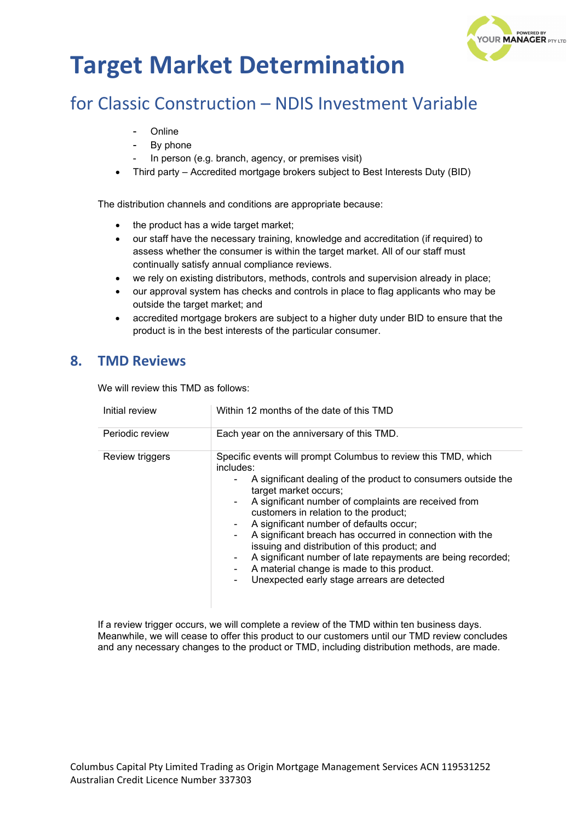

# for Classic Construction – NDIS Investment Variable

- **Online**
- By phone
- In person (e.g. branch, agency, or premises visit)
- Third party Accredited mortgage brokers subject to Best Interests Duty (BID)

The distribution channels and conditions are appropriate because:

- the product has a wide target market;
- our staff have the necessary training, knowledge and accreditation (if required) to assess whether the consumer is within the target market. All of our staff must continually satisfy annual compliance reviews.
- we rely on existing distributors, methods, controls and supervision already in place;
- our approval system has checks and controls in place to flag applicants who may be outside the target market; and
- accredited mortgage brokers are subject to a higher duty under BID to ensure that the product is in the best interests of the particular consumer.

### **8. TMD Reviews**

We will review this TMD as follows:

| Initial review  | Within 12 months of the date of this TMD                                                                                                                                                                                                                                                                                                                                                                                                                                                                                                                                                   |
|-----------------|--------------------------------------------------------------------------------------------------------------------------------------------------------------------------------------------------------------------------------------------------------------------------------------------------------------------------------------------------------------------------------------------------------------------------------------------------------------------------------------------------------------------------------------------------------------------------------------------|
| Periodic review | Each year on the anniversary of this TMD.                                                                                                                                                                                                                                                                                                                                                                                                                                                                                                                                                  |
| Review triggers | Specific events will prompt Columbus to review this TMD, which<br>includes:<br>A significant dealing of the product to consumers outside the<br>target market occurs;<br>A significant number of complaints are received from<br>customers in relation to the product;<br>A significant number of defaults occur;<br>A significant breach has occurred in connection with the<br>issuing and distribution of this product; and<br>A significant number of late repayments are being recorded;<br>A material change is made to this product.<br>Unexpected early stage arrears are detected |

If a review trigger occurs, we will complete a review of the TMD within ten business days. Meanwhile, we will cease to offer this product to our customers until our TMD review concludes and any necessary changes to the product or TMD, including distribution methods, are made.